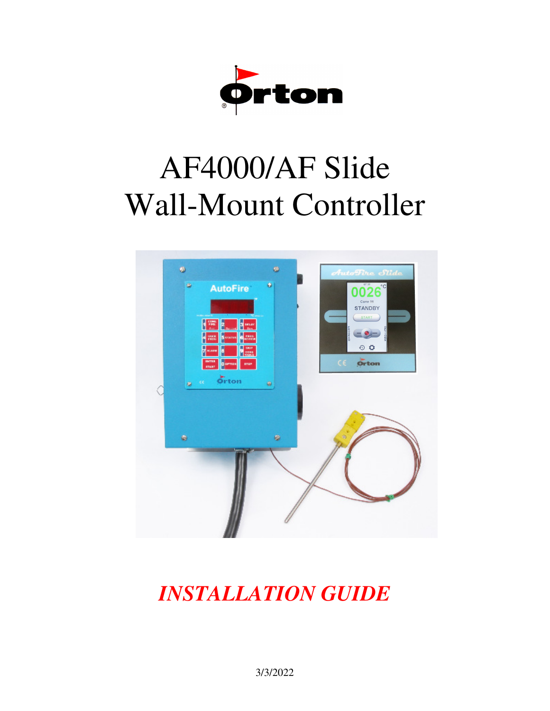

# AF4000/AF Slide Wall-Mount Controller



# *INSTALLATION GUIDE*

3/3/2022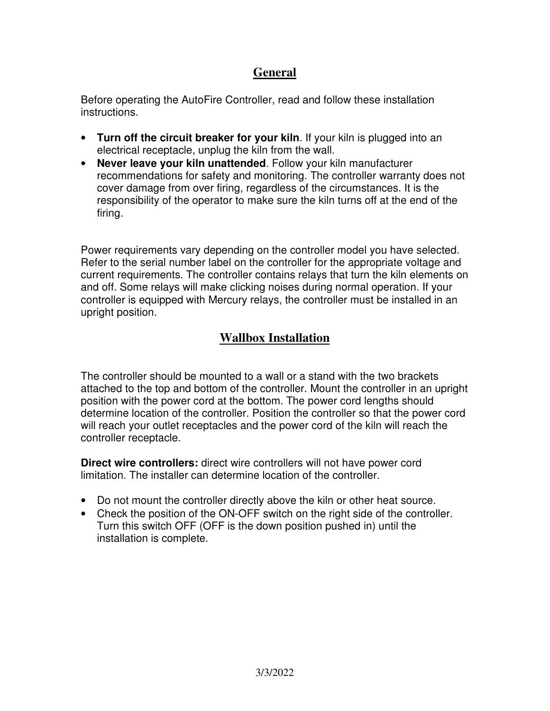### **General**

Before operating the AutoFire Controller, read and follow these installation instructions.

- **Turn off the circuit breaker for your kiln**. If your kiln is plugged into an electrical receptacle, unplug the kiln from the wall.
- **Never leave your kiln unattended**. Follow your kiln manufacturer recommendations for safety and monitoring. The controller warranty does not cover damage from over firing, regardless of the circumstances. It is the responsibility of the operator to make sure the kiln turns off at the end of the firing.

Power requirements vary depending on the controller model you have selected. Refer to the serial number label on the controller for the appropriate voltage and current requirements. The controller contains relays that turn the kiln elements on and off. Some relays will make clicking noises during normal operation. If your controller is equipped with Mercury relays, the controller must be installed in an upright position.

# **Wallbox Installation**

The controller should be mounted to a wall or a stand with the two brackets attached to the top and bottom of the controller. Mount the controller in an upright position with the power cord at the bottom. The power cord lengths should determine location of the controller. Position the controller so that the power cord will reach your outlet receptacles and the power cord of the kiln will reach the controller receptacle.

**Direct wire controllers:** direct wire controllers will not have power cord limitation. The installer can determine location of the controller.

- Do not mount the controller directly above the kiln or other heat source.
- Check the position of the ON-OFF switch on the right side of the controller. Turn this switch OFF (OFF is the down position pushed in) until the installation is complete.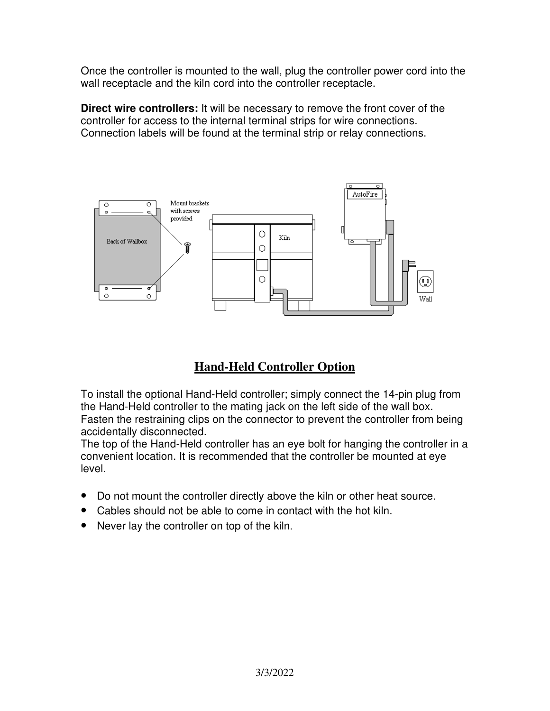Once the controller is mounted to the wall, plug the controller power cord into the wall receptacle and the kiln cord into the controller receptacle.

**Direct wire controllers:** It will be necessary to remove the front cover of the controller for access to the internal terminal strips for wire connections. Connection labels will be found at the terminal strip or relay connections.



# **Hand-Held Controller Option**

To install the optional Hand-Held controller; simply connect the 14-pin plug from the Hand-Held controller to the mating jack on the left side of the wall box. Fasten the restraining clips on the connector to prevent the controller from being accidentally disconnected.

The top of the Hand-Held controller has an eye bolt for hanging the controller in a convenient location. It is recommended that the controller be mounted at eye level.

- Do not mount the controller directly above the kiln or other heat source.
- Cables should not be able to come in contact with the hot kiln.
- Never lay the controller on top of the kiln.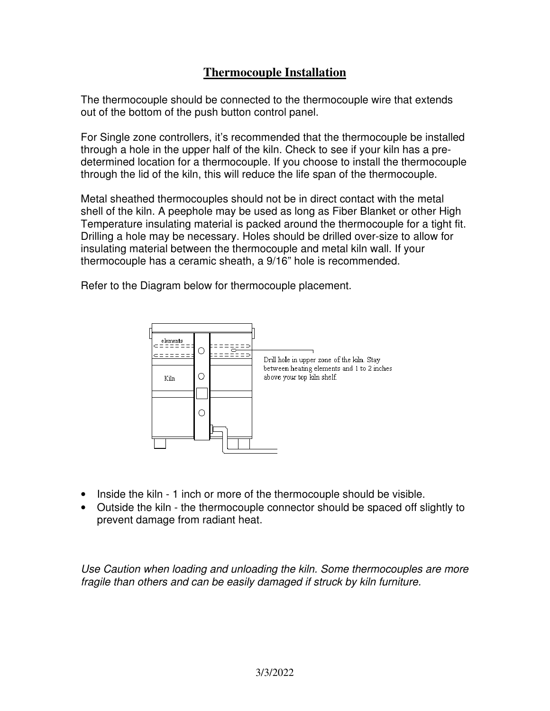#### **Thermocouple Installation**

The thermocouple should be connected to the thermocouple wire that extends out of the bottom of the push button control panel.

For Single zone controllers, it's recommended that the thermocouple be installed through a hole in the upper half of the kiln. Check to see if your kiln has a predetermined location for a thermocouple. If you choose to install the thermocouple through the lid of the kiln, this will reduce the life span of the thermocouple.

Metal sheathed thermocouples should not be in direct contact with the metal shell of the kiln. A peephole may be used as long as Fiber Blanket or other High Temperature insulating material is packed around the thermocouple for a tight fit. Drilling a hole may be necessary. Holes should be drilled over-size to allow for insulating material between the thermocouple and metal kiln wall. If your thermocouple has a ceramic sheath, a 9/16" hole is recommended.

Refer to the Diagram below for thermocouple placement.



- Inside the kiln 1 inch or more of the thermocouple should be visible.
- Outside the kiln the thermocouple connector should be spaced off slightly to prevent damage from radiant heat.

Use Caution when loading and unloading the kiln. Some thermocouples are more fragile than others and can be easily damaged if struck by kiln furniture.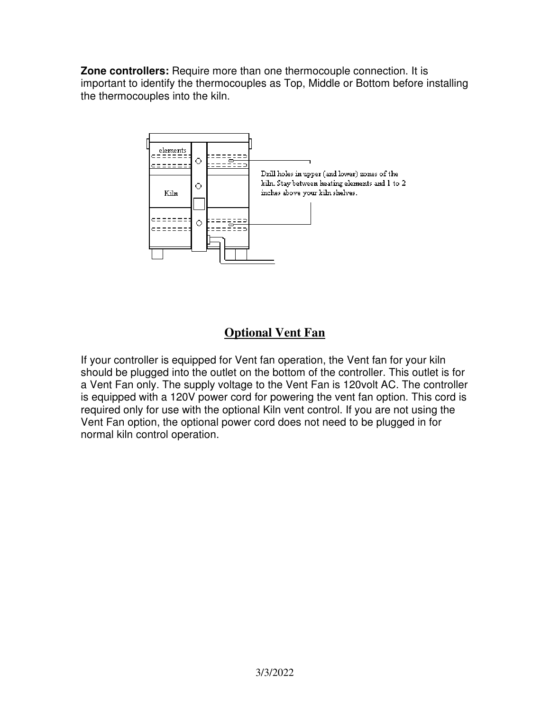**Zone controllers:** Require more than one thermocouple connection. It is important to identify the thermocouples as Top, Middle or Bottom before installing the thermocouples into the kiln.



# **Optional Vent Fan**

If your controller is equipped for Vent fan operation, the Vent fan for your kiln should be plugged into the outlet on the bottom of the controller. This outlet is for a Vent Fan only. The supply voltage to the Vent Fan is 120volt AC. The controller is equipped with a 120V power cord for powering the vent fan option. This cord is required only for use with the optional Kiln vent control. If you are not using the Vent Fan option, the optional power cord does not need to be plugged in for normal kiln control operation.